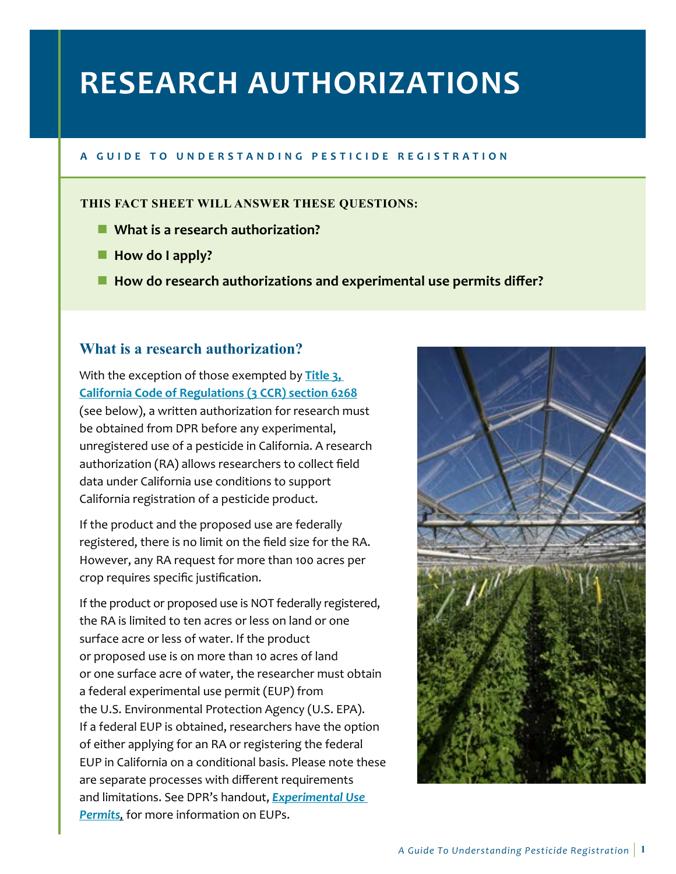# **RESEARCH AUTHORIZATIONS**

#### **A G U I D E T O U N D E R S T A N D I N G P E S T I C I D E R E G I S T R A TION**

#### **THIS FACT SHEET WILL ANSWER THESE QUESTIONS:**

- What is a research authorization?
- **How do I apply?**
- How do research authorizations and experimental use permits differ?

### **What is a research authorization?**

 **[California Code of Regulations \(3 CCR\) section 6268](https://govt.westlaw.com/calregs/Document/I6481D8F0D45A11DEB97CF67CD0B99467?viewType=FullText&originationContext=documenttoc&transitionType=CategoryPageItem&contextData=(sc.Default))** With the exception of those exempted by **[Title 3,](https://govt.westlaw.com/calregs/Document/I6481D8F0D45A11DEB97CF67CD0B99467?viewType=FullText&originationContext=documenttoc&transitionType=CategoryPageItem&contextData=(sc.Default))**  (see below), a written authorization for research must be obtained from DPR before any experimental, unregistered use of a pesticide in California. A research authorization (RA) allows researchers to collect field data under California use conditions to support California registration of a pesticide product.

If the product and the proposed use are federally registered, there is no limit on the field size for the RA. However, any RA request for more than 100 acres per crop requires specific justification.

If the product or proposed use is NOT federally registered, the RA is limited to ten acres or less on land or one surface acre or less of water. If the product or proposed use is on more than 10 acres of land or one surface acre of water, the researcher must obtain a federal experimental use permit (EUP) from the U.S. Environmental Protection Agency (U.S. EPA). If a federal EUP is obtained, researchers have the option of either applying for an RA or registering the federal EUP in California on a conditional basis. Please note these are separate processes with different requirements and limitations. See DPR's handout, *[Experimental Use](http://www.cdpr.ca.gov/docs/registration/guides/experimental_use.pdf)  [Permits](http://www.cdpr.ca.gov/docs/registration/guides/experimental_use.pdf),* for more information on EUPs.

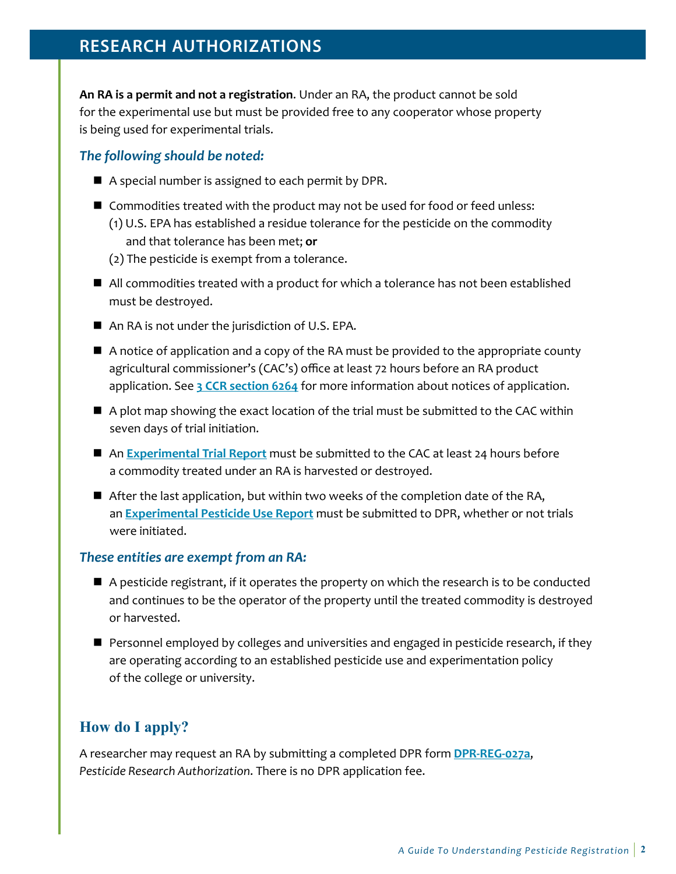# **RESEARCH AUTHORIZATIONS**

**An RA is a permit and not a registration**. Under an RA, the product cannot be sold for the experimental use but must be provided free to any cooperator whose property is being used for experimental trials.

#### *The following should be noted:*

- A special number is assigned to each permit by DPR.
- Commodities treated with the product may not be used for food or feed unless: (1) U.S. EPA has established a residue tolerance for the pesticide on the commodity
	- and that tolerance has been met; **or**
	- (2) The pesticide is exempt from a tolerance.
- All commodities treated with a product for which a tolerance has not been established must be destroyed.
- An RA is not under the jurisdiction of U.S. EPA.
- A notice of application and a copy of the RA must be provided to the appropriate county agricultural commissioner's (CAC's) office at least 72 hours before an RA product application. See **[3 CCR section 6264](https://www.cdpr.ca.gov/docs/legbills/calcode/020113.htm#a6264)** for more information about notices of application.
- A plot map showing the exact location of the trial must be submitted to the CAC within seven days of trial initiation.
- An **Experimental Trial Report** must be submitted to the CAC at least 24 hours before a commodity treated under an RA is harvested or destroyed.
- After the last application, but within two weeks of the completion date of the RA, an **[Experimental Pesticide Use Report](http://www.cdpr.ca.gov/docs/registration/regforms/ra/ramenu.htm)** must be submitted to DPR, whether or not trials were initiated.

#### *These entities are exempt from an RA:*

- A pesticide registrant, if it operates the property on which the research is to be conducted and continues to be the operator of the property until the treated commodity is destroyed or harvested.
- **Personnel employed by colleges and universities and engaged in pesticide research, if they** are operating according to an established pesticide use and experimentation policy of the college or university.

## **How do I apply?**

A researcher may request an RA by submitting a completed DPR form **[DPR-REG-027a](https://www.cdpr.ca.gov/docs/registration/regforms/ra/dpr_reg_027a.pdf)**, *Pesticide Research Authorization*. There is no DPR application fee.